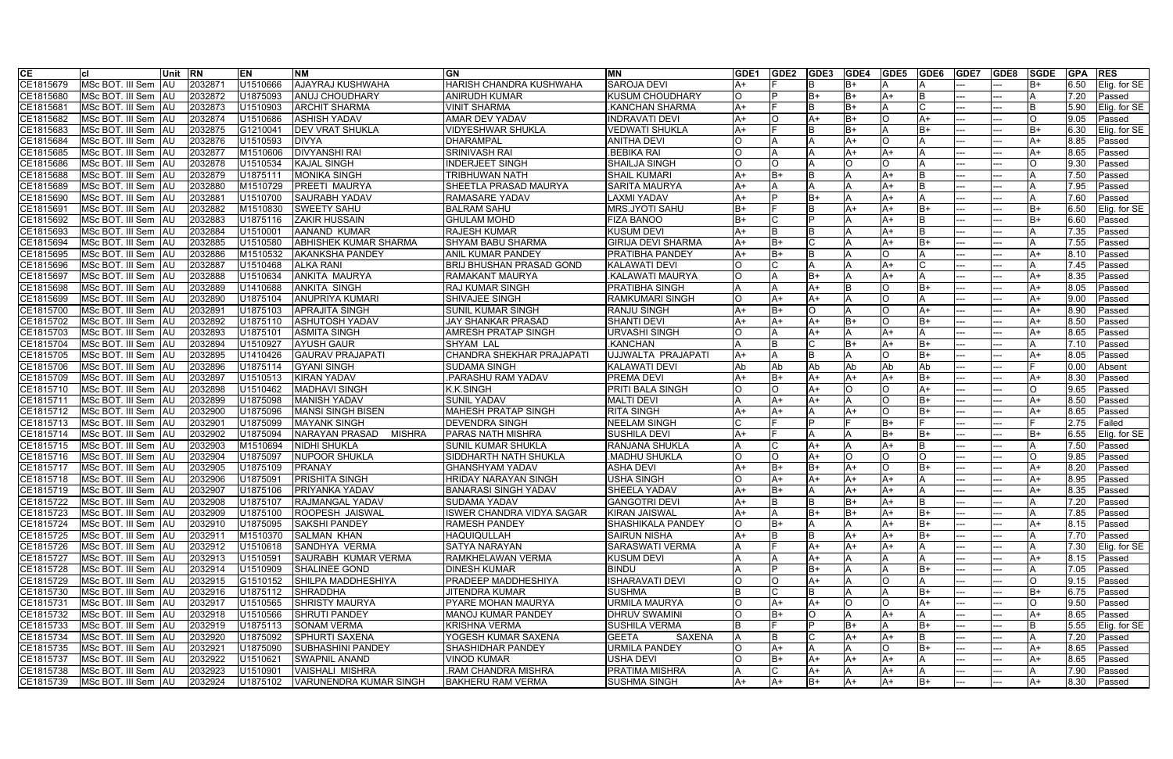| <b>CE</b> | lcl                               | lUnit      | <b>IRN</b> | EN       | <b>INM</b>                   | <b>GN</b>                        | <b>MN</b>                 | <b>IGDE1</b> | GDE <sub>2</sub> | <b>IGDE3</b> | <b>GDE4</b> | <b>IGDE5</b> | GDE6     | <b>IGDE7</b> | GDE8 | <b>SGDE</b> | <b>GPA</b> | <b>RES</b>    |
|-----------|-----------------------------------|------------|------------|----------|------------------------------|----------------------------------|---------------------------|--------------|------------------|--------------|-------------|--------------|----------|--------------|------|-------------|------------|---------------|
| CE1815679 | MSc BOT. III Sem                  | IAU        | 203287     | U1510666 | <b>AJAYRAJ KUSHWAHA</b>      | HARISH CHANDRA KUSHWAHA          | <b>SAROJA DEVI</b>        |              |                  |              | B+          |              |          |              |      | IB+         | 6.50       | Elig. for SE  |
| CE1815680 | MSc BOT. III Sem AU               |            | 2032872    | U1875093 | <b>ANUJ CHOUDHARY</b>        | ANIRUDH KUMAR                    | <b>KUSUM CHOUDHARY</b>    |              |                  | lB+          | lB+         | A+           | l R      |              |      |             | 7.20       | Passed        |
| CE181568  | MSc BOT. III Sem AU               |            | 2032873    | U1510903 | <b>ARCHIT SHARMA</b>         | <b>VINIT SHARMA</b>              | KANCHAN SHARMA            | lA+          |                  |              | B+          |              |          |              |      | ΙB          | 5.90       | Elig. for SE  |
| CE1815682 | MSc BOT. III Sem IAU              |            | 2032874    | U1510686 | <b>ASHISH YADAV</b>          | <b>AMAR DEV YADAV</b>            | <b>INDRAVATI DEVI</b>     | IA+          | O                | A+           | B+          |              | A+       |              |      |             | 9.05       | Passed        |
| CE1815683 | MSc BOT. III Sem AU               |            | 2032875    | G121004  | <b>DEV VRAT SHUKLA</b>       | VIDYESHWAR SHUKLA                | <b>VEDWATI SHUKLA</b>     | IA+          |                  |              | B+          |              | lB+      |              |      | lB+         | 6.30       | Elig. for SE  |
| CE1815684 | MSc BOT. III Sem                  | <b>AU</b>  | 2032876    | U1510593 | <b>DIVYA</b>                 | <b>DHARAMPAL</b>                 | <b>ANITHA DEVI</b>        |              |                  |              | A+          |              |          |              |      | lA+         | 8.85       | Passed        |
| CE1815685 | MSc BOT. III Sem                  | <b>AU</b>  | 2032877    | M1510606 | <b>DIVYANSHI RAI</b>         | <b>SRINIVASH RAI</b>             | <b>BEBIKA RAI</b>         |              | A                |              | A+          |              | A        |              |      | IA+         | 8.65       | Passed        |
| CE1815686 | MSc BOT. III Sem AU               |            | 2032878    | U1510534 | <b>KAJAL SINGH</b>           | <b>INDERJEET SINGH</b>           | <b>SHAILJA SINGH</b>      |              | O                |              | ∩           |              |          |              |      |             | 9.30       | Passed        |
| CE1815688 | MSc BOT. III Sem   AU             |            | 2032879    | U187511  | <b>MONIKA SINGH</b>          | <b>TRIBHUWAN NATH</b>            | <b>SHAIL KUMARI</b>       |              | $B+$             |              |             |              | IB.      |              |      |             | 7.50       | Passed        |
| CE1815689 | MSc BOT. III Sem AU               |            | 2032880    | M1510729 | <b>PREETI MAURYA</b>         | <b>SHEETLA PRASAD MAURYA</b>     | <b>SARITA MAURYA</b>      | IA+          |                  |              |             | $A+$         | IB.      |              |      |             | 7.95       | Passed        |
| CE181569  | MSc BOT. III Sem   AU             |            | 2032881    | U1510700 | <b>SAURABH YADAV</b>         | <b>RAMASARE YADAV</b>            | <b>LAXMI YADAV</b>        | IA+          |                  | B+           |             | $A+$         |          |              |      |             | 7.60       | Passed        |
| CE181569  | MSc BOT. III Sem   AU             |            | 2032882    | M1510830 | <b>SWEETY SAHU</b>           | <b>BALRAM SAHU</b>               | <b>MRS.JYOTI SAHU</b>     | lB+          |                  |              | A+          | lA+          | lB+      |              |      | lB+         | 6.50       | Elig. for SE  |
| CE1815692 | MSc BOT. III Sem   AU             |            | 2032883    | U1875116 | <b>ZAKIR HUSSAIN</b>         | <b>GHULAM MOHD</b>               | <b>FIZA BANOO</b>         | lB+          |                  |              |             | $A+$         | <b>B</b> |              |      | lB+         | 6.60       | Passed        |
| CE1815693 | MSc BOT. III Sem AU               |            | 2032884    | U1510001 | AANAND KUMAR                 | <b>RAJESH KUMAR</b>              | <b>KUSUM DEVI</b>         | lA+          | R.               |              |             | $A+$         | <b>B</b> |              |      |             | 7.35       | Passed        |
| CE1815694 | MSc BOT. III Sem AU               |            | 2032885    | U1510580 | <b>ABHISHEK KUMAR SHARMA</b> | <b>SHYAM BABU SHARMA</b>         | <b>GIRIJA DEVI SHARMA</b> | lA+          | $B+$             |              |             | $A+$         | lB+      |              |      |             | 7.55       | Passed        |
| CE1815695 | MSc BOT. III Sem AU               |            | 2032886    | M1510532 | <b>AKANKSHA PANDEY</b>       | <b>ANIL KUMAR PANDEY</b>         | <b>PRATIBHA PANDEY</b>    | lA+          | $B+$             |              |             |              |          |              |      | lA+         | 8.10       | Passed        |
| CE1815696 | MSc BOT. III Sem AU               |            | 2032887    | U1510468 | <b>ALKA RANI</b>             | <b>BRIJ BHUSHAN PRASAD GOND</b>  | <b>KALAWATI DEVI</b>      |              |                  |              |             | $A+$         |          |              |      |             | 7.45       | Passed        |
| CE1815697 | MSc BOT. III Sem AU               |            | 2032888    | U1510634 | <b>ANKITA MAURYA</b>         | RAMAKANT MAURYA                  | <b>KALAWATI MAURYA</b>    | חו           |                  | B+           |             |              |          |              |      | IA+         | 8.35       | Passed        |
| CE1815698 | MSc BOT. III Sem  AU              |            | 2032889    | U1410688 | <b>ANKITA SINGH</b>          | RAJ KUMAR SINGH                  | PRATIBHA SINGH            |              | A                |              |             |              | lB+      |              |      | lA+         | 8.05       | Passed        |
| CE1815699 | MSc BOT. III Sem AU               |            | 2032890    | U1875104 | <b>ANUPRIYA KUMARI</b>       | SHIVAJEE SINGH                   | <b>RAMKUMARI SINGH</b>    | חו           | $A+$             |              |             |              |          |              |      | lA+         | 9.00       | Passed        |
| CE1815700 | MSc BOT. III Sem AU               |            | 2032891    | U1875103 | <b>APRAJITA SINGH</b>        | <b>SUNIL KUMAR SINGH</b>         | <b>RANJU SINGH</b>        | lA+          | $B+$             | $\Omega$     |             |              | A+       |              |      | lA+         | 8.90       | Passed        |
| CE1815702 | MSc BOT. III Sem   AU             |            | 2032892    | U1875110 | <b>ASHUTOSH YADAV</b>        | JAY SHANKAR PRASAD               | <b>SHANTI DEVI</b>        |              | A+               | $A+$         | lB+         |              | lB+      |              |      | IA+         | 8.50       | Passed        |
| CE1815703 | MSc BOT. III Sem AU               |            | 2032893    | U1875101 | <b>ASMITA SINGH</b>          | <b>AMRESH PRATAP SINGH</b>       | JRVASHI SINGH             |              |                  | A+           |             | lA+          |          |              |      | lA+         | 8.65       | Passed        |
| CE1815704 | MSc BOT. III Sem   AU             |            | 2032894    | U1510927 | <b>AYUSH GAUR</b>            | SHYAM LAL                        | .KANCHAN                  |              |                  |              | B+          | lA+          | $B+$     |              |      |             | 7.10       | Passed        |
| CE1815705 | MSc BOT. III Sem AU               |            | 2032895    | U1410426 | <b>GAURAV PRAJAPATI</b>      | CHANDRA SHEKHAR PRAJAPATI        | UJJWALTA PRAJAPATI        | lA+          |                  |              |             |              | lB+      |              |      | lA+         | 8.05       | Passed        |
| CE1815706 | MSc BOT. III Sem                  | <b>AU</b>  | 2032896    | U1875114 | <b>GYANI SINGH</b>           | SUDAMA SINGH                     | <b>KALAWATI DEVI</b>      | lAb          | Ab               | Ab           | Ab          | Ab           | Ab       |              |      |             | 0.00       | Absent        |
| CE1815709 | MSc BOT. III Sem AU               |            | 2032897    | U1510513 | <b>KIRAN YADAV</b>           | PARASHU RAM YADAV.               | <b>PREMA DEVI</b>         | IA+          | $B+$             | A+           | A+          | A+           | $B+$     |              |      | lA+         | 8.30       | Passed        |
| CE1815710 | MSc BOT. III Sem   AU             |            | 2032898    | U1510462 | <b>MADHAVI SINGH</b>         | <b>K.K.SINGH</b>                 | <b>PRITI BALA SINGH</b>   |              | $\circ$          | $A+$         | ∩           |              | A+       |              |      |             | 9.65       | Passed        |
| CE181571  | MSc BOT. III Sem AU               |            | 2032899    | U1875098 | <b>MANISH YADAV</b>          | <b>SUNIL YADAV</b>               | <b>MALTI DEVI</b>         |              | A+               | A+           |             |              | lB+      |              |      | lA+         | 8.50       | Passed        |
| CE1815712 | MSc BOT. III Sem AU               |            | 2032900    | U1875096 | <b>MANSI SINGH BISEN</b>     | <b>MAHESH PRATAP SINGH</b>       | <b>RITA SINGH</b>         | IA+          | A+               |              | A+          |              | lB+      |              |      | IA+         | 8.65       | Passed        |
| CE1815713 | MSc BOT. III Sem                  | <b>JAU</b> | 2032901    | U1875099 | <b>MAYANK SINGH</b>          | <b>DEVENDRA SINGH</b>            | <b>NEELAM SINGH</b>       |              |                  |              |             | $B+$         |          |              |      |             | 2.75       | Failed        |
| CE1815714 | MSc BOT. III Sem                  | <b>IAU</b> | 2032902    | U1875094 | NARAYAN PRASAD<br>MISHRA     | <b>PARAS NATH MISHRA</b>         | <b>SUSHILA DEVI</b>       |              |                  |              |             | $B+$         | lB+      |              |      | lB+         | 6.55       | Elig. for SE  |
| CE1815715 | MSc BOT. III Sem AU               |            | 2032903    | M1510694 | <b>NIDHI SHUKLA</b>          | <b>SUNIL KUMAR SHUKLA</b>        | RANJANA SHUKLA            |              |                  |              |             | A+           | IB.      |              |      |             | 7.50       | Passed        |
| CE1815716 | MSc BOT. III Sem AU               |            | 2032904    | U1875097 | <b>NUPOOR SHUKLA</b>         | SIDDHARTH NATH SHUKLA            | MADHU SHUKLA              |              | റ                |              | ∩           |              | IO.      |              |      |             | 9.85       | Passed        |
| CE181571  | MSc BOT. III Sem AU               |            | 2032905    | U1875109 | PRANAY                       | <b>GHANSHYAM YADAV</b>           | <b>ASHA DEVI</b>          | IA+          | B+               | B+           | A+          |              | lB+      |              |      | lA+         | 8.20       | Passed        |
| CE1815718 | MSc BOT. III Sem   AU             |            | 2032906    | U1875091 | <b>PRISHITA SINGH</b>        | HRIDAY NARAYAN SINGH             | <b>USHA SINGH</b>         |              | A+               | A+           | A+          | lA+          |          |              |      | IA+         | 8.95       | Passed        |
| CE1815719 | MSc BOT. III Sem   AU             |            | 2032907    | U1875106 | PRIYANKA YADAV               | <b>BANARASI SINGH YADAV</b>      | <b>SHEELA YADAV</b>       | lA+          | $B+$             |              | A+          | lA+          |          |              |      | lA+         | 8.35       | Passed        |
|           | CE1815722   MSc BOT. III Sem   AU |            | 2032908    | U1875107 | <b>RAJMANGAL YADAV</b>       | <b>SUDAMA YADAV</b>              | <b>GANGOTRI DEVI</b>      | A+           | IB.              | IB.          | IB+         | IA+          | IB       | ---          |      | ΙA          | 7.20       | Passed        |
| CE1815723 | MSc BOT. III Sem AU               |            | 2032909    | U1875100 | <b>ROOPESH JAISWAL</b>       | <b>ISWER CHANDRA VIDYA SAGAR</b> | <b>KIRAN JAISWAL</b>      | $A+$         |                  | lB+          | lB+         | $A+$         | $B+$     |              |      | ΙA          | 7.85       | Passed        |
| CE1815724 | MSc BOT. III Sem AU               |            | 2032910    | U1875095 | <b>SAKSHI PANDEY</b>         | <b>RAMESH PANDEY</b>             | SHASHIKALA PANDEY         | lO           | B+               |              |             | A+           | B+       |              |      | A+          | 8.15       | Passed        |
| CE1815725 | MSc BOT. III Sem AU               |            | 2032911    | M1510370 | <b>SALMAN KHAN</b>           | <b>HAQUIQULLAH</b>               | <b>SAIRUN NISHA</b>       | lA+          |                  |              | A+          | A+           | lB+      |              |      |             | 7.70       | Passed        |
| CE1815726 | MSc BOT. III Sem AU               |            | 2032912    | U1510618 | SANDHYA VERMA                | <b>SATYA NARAYAN</b>             | <b>SARASWATI VERMA</b>    | IΑ           |                  | A+           | A+          | A+           | ΙA.      |              |      | IΑ          | 7.30       | Elig. for SE  |
| CE1815727 | MSc BOT. III Sem AU               |            | 2032913    | U1510591 | <b>SAURABH KUMAR VERMA</b>   | RAMKHELAWAN VERMA                | <b>KUSUM DEVI</b>         |              |                  | A+           |             |              | A        |              |      | lA+         | 8.15       | Passed        |
| CE1815728 | MSc BOT. III Sem AU               |            | 2032914    | U1510909 | SHALINEE GOND                | <b>DINESH KUMAR</b>              | <b>BINDU</b>              |              | Þ                | B+           |             |              | lB+      |              |      | ΙA          | 7.05       | Passed        |
| CE1815729 | MSc BOT. III Sem AU               |            | 2032915    | G1510152 | SHILPA MADDHESHIYA           | PRADEEP MADDHESHIYA              | <b>ISHARAVATI DEVI</b>    | IO           | $\circ$          | A+           |             |              |          |              |      | IО          | 9.15       | Passed        |
| CE1815730 | MSc BOT. III Sem AU               |            | 2032916    | U1875112 | <b>SHRADDHA</b>              | JITENDRA KUMAR                   | <b>SUSHMA</b>             | ΙB           | $\mathsf C$      | IΒ           |             |              | $B+$     |              |      | B+          | 6.75       | Passed        |
| CE1815731 | MSc BOT. III Sem AU               |            | 2032917    | U1510565 | <b>SHRISTY MAURYA</b>        | PYARE MOHAN MAURYA               | <b>URMILA MAURYA</b>      |              | A+               | A+           | IO.         |              | A+       |              |      | IO.         | 9.50       | Passed        |
| CE1815732 | MSc BOT. III Sem   AU             |            | 2032918    | U1510566 | <b>SHRUTI PANDEY</b>         | <b>MANOJ KUMAR PANDEY</b>        | <b>DHRUV SWAMINI</b>      | IO           | B+               | IO.          |             | $A+$         |          |              |      | A+          | 8.65       | Passed        |
| CE1815733 | MSc BOT. III Sem AU               |            | 2032919    | U1875113 | <b>SONAM VERMA</b>           | KRISHNA VERMA                    | <b>SUSHILA VERMA</b>      | IΒ           |                  |              | lB+         |              | lB+      |              |      | IΒ          | 5.55       | Elig. for SE  |
| CE1815734 | MSc BOT. III Sem AU               |            | 2032920    | U1875092 | <b>SPHURTI SAXENA</b>        | YOGESH KUMAR SAXENA              | <b>GEETA</b><br>SAXENA    |              | B                |              | A+          | lA+          |          | ---          |      | IΑ          | 7.20       | Passed        |
| CE1815735 | MSc BOT. III Sem AU               |            | 2032921    | U1875090 | <b>SUBHASHINI PANDEY</b>     | SHASHIDHAR PANDEY                | <b>URMILA PANDEY</b>      | IО           | A+               |              |             |              | $B+$     |              |      | lA+         | 8.65       | Passed        |
| CE1815737 | MSc BOT. III Sem AU               |            | 2032922    | U1510621 | <b>SWAPNIL ANAND</b>         | <b>VINOD KUMAR</b>               | <b>USHA DEVI</b>          |              | B+               | A+           | A+          | lA+          |          |              |      | A+          | 8.65       | Passed        |
| CE1815738 | MSc BOT. III Sem AU               |            | 2032923    | U1510901 | VAISHALI MISHRA              | .RAM CHANDRA MISHRA              | <b>PRATIMA MISHRA</b>     |              |                  | A+           |             | A+           |          |              |      |             | 7.90       | <b>Passed</b> |
| CE1815739 | MSc BOT. III Sem AU               |            | 2032924    | U1875102 | VARUNENDRA KUMAR SINGH       | <b>BAKHERU RAM VERMA</b>         | <b>SUSHMA SINGH</b>       | A+           | $A+$             | lB+          | A+          | lA+          | $B+$     |              |      | lA+         | 8.30       | Passed        |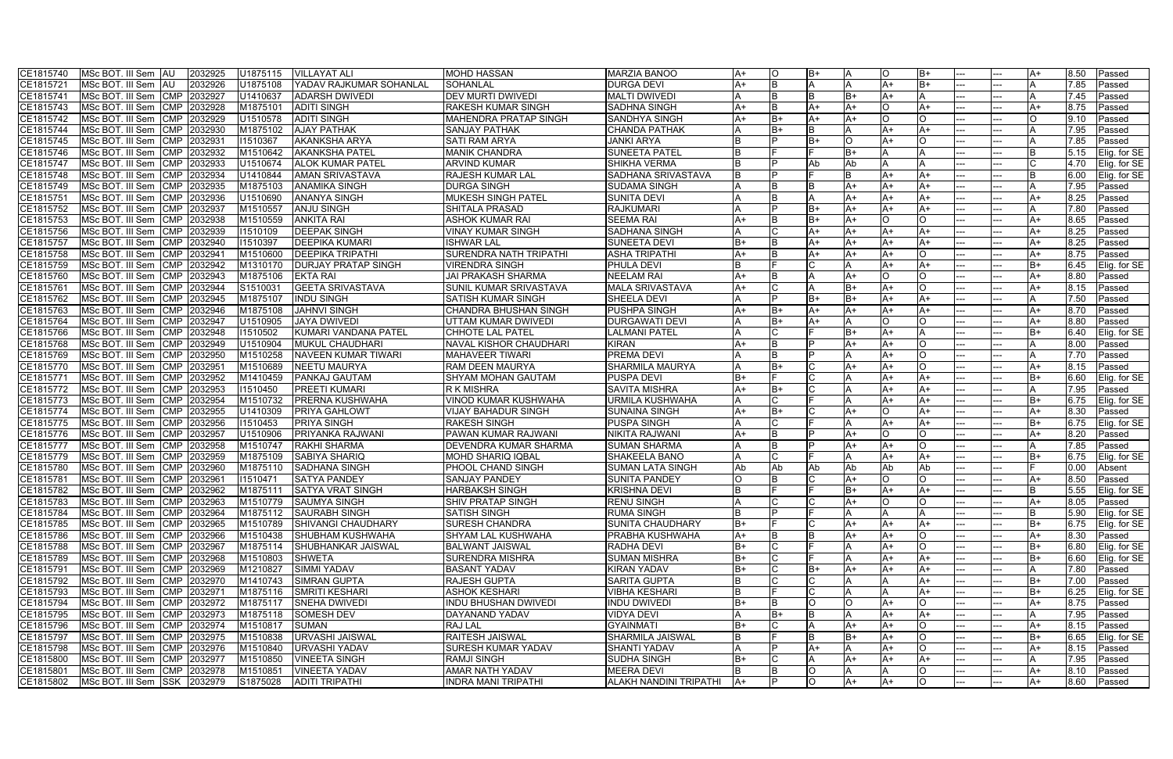| CE1815740 | MSc BOT. III Sem AU                          | 2032925                | U1875115 | <b>VILLAYAT ALI</b>        | <b>MOHD HASSAN</b>            | <b>MARZIA BANOO</b>           | A+   | ΙO           | lB+ |      |      | B+       |     | A+   | 8.50  | Passed       |
|-----------|----------------------------------------------|------------------------|----------|----------------------------|-------------------------------|-------------------------------|------|--------------|-----|------|------|----------|-----|------|-------|--------------|
| CE1815721 | MSc BOT. III Sem   AU                        | 2032926                | U1875108 | YADAV RAJKUMAR SOHANLAL    | <b>SOHANLAL</b>               | <b>DURGA DEVI</b>             |      | B.           |     |      | A+   | B+       |     |      | 7.85  | Passed       |
| CE181574  | MSc BOT. III Sem CMP                         | 2032927                | U1410637 | <b>ADARSH DWIVEDI</b>      | DEV MURTI DWIVEDI             | <b>MALTI DWIVEDI</b>          |      |              |     | B+   | $A+$ |          |     |      | 7.45  | Passed       |
| CE1815743 | MSc BOT. III Sem CMP                         | 2032928                | M187510  | <b>ADITI SINGH</b>         | RAKESH KUMAR SINGH            | <b>SADHNA SINGH</b>           | IA+  |              | A+  | A+   |      | A+       |     | A+   | 8.75  | Passed       |
| CE1815742 | MSc BOT. III Sem CMP                         | 2032929                | U1510578 | <b>ADITI SINGH</b>         | <b>MAHENDRA PRATAP SINGH</b>  | <b>SANDHYA SINGH</b>          | IA+  | lB+          | A+  | A+   |      | $\Omega$ |     |      | 19.10 | Passed       |
| CE1815744 | MSc BOT. III Sem                             | <b>CMP</b><br>2032930  | M1875102 | <b>AJAY PATHAK</b>         | <b>SANJAY PATHAK</b>          | <b>CHANDA PATHAK</b>          |      | B+           |     |      | A+   | A+       |     |      | 7.95  | Passed       |
| CE1815745 | MSc BOT. III Sem                             | <b>CMP</b><br>2032931  | 11510367 | <b>AKANKSHA ARYA</b>       | <b>SATI RAM ARYA</b>          | <b>JANKI ARYA</b>             |      | D            | B+  | O    | A+   | O.       |     |      | 7.85  | Passed       |
| CE1815746 | MSc BOT. III Sem                             | <b>CMP</b><br>2032932  | M1510642 | <b>AKANKSHA PATEL</b>      | <b>MANIK CHANDRA</b>          | <b>SUNEETA PATEL</b>          |      |              |     | B+   |      |          |     |      | 15.15 | Elig. for SE |
| CE1815747 | MSc BOT. III Sem                             | <b>CMP</b><br>2032933  | U1510674 | <b>ALOK KUMAR PATEL</b>    | <b>ARVIND KUMAR</b>           | <b>SHIKHA VERMA</b>           |      |              | Ab  | Ab   |      |          |     |      | 4.70  | Elig. for SE |
| CE1815748 | MSc BOT. III Sem                             | <b>CMP</b><br>2032934  | U1410844 | <b>AMAN SRIVASTAVA</b>     | RAJESH KUMAR LAL              | SADHANA SRIVASTAVA            |      | D            |     |      | A+   | A+       |     |      | 6.00  | Elig. for SE |
| CE1815749 | MSc BOT. III Sem CMP                         | 2032935                | M1875103 | <b>ANAMIKA SINGH</b>       | <b>DURGA SINGH</b>            | <b>SUDAMA SINGH</b>           |      | B            |     | A+   | A+   | A+       |     |      | 7.95  | Passed       |
| CE1815751 | MSc BOT. III Sem CMP                         | 2032936                | U1510690 | <b>ANANYA SINGH</b>        | <b>MUKESH SINGH PATEL</b>     | <b>SUNITA DEVI</b>            |      |              |     | A+   | A+   | A+       |     | A+   | 8.25  | Passed       |
| CE1815752 | MSc BOT. III Sem CMP                         | 2032937                | M1510557 | <b>ANJU SINGH</b>          | <b>SHITALA PRASAD</b>         | <b>RAJKUMARI</b>              |      |              | B+  | A+   | $A+$ | A+       |     |      | 7.80  | Passed       |
| CE1815753 | MSc BOT. III Sem CMP                         | 2032938                | M1510559 | <b>ANKITA RAI</b>          | <b>ASHOK KUMAR RAI</b>        | <b>SEEMA RAI</b>              |      |              |     | A+   |      | IO.      |     | A+   | 8.65  | Passed       |
| CE1815756 | MSc BOT. III Sem CMP                         | 2032939                | 11510109 | <b>DEEPAK SINGH</b>        | <b>VINAY KUMAR SINGH</b>      | <b>SADHANA SINGH</b>          |      |              | A+  | A+   | A+   | A+       |     | $A+$ | 8.25  | Passed       |
| CE181575  | MSc BOT. III Sem                             | <b>CMP</b><br>2032940  | 11510397 | <b>DEEPIKA KUMARI</b>      | <b>ISHWAR LAL</b>             | <b>SUNEETA DEVI</b>           |      |              | A+  | A+   | $A+$ | A+       |     | $A+$ | 8.25  | Passed       |
| CE1815758 | MSc BOT. III Sem CMP                         | 2032941                | M1510600 | <b>DEEPIKA TRIPATHI</b>    | <b>SURENDRA NATH TRIPATHI</b> | <b>ASHA TRIPATHI</b>          | $A+$ | B.           | A+  | A+   | $A+$ | $\circ$  |     | A+   | 8.75  | Passed       |
| CE1815759 | MSc BOT. III Sem                             | <b>CMP</b><br>2032942  | M1310170 | <b>DURJAY PRATAP SINGH</b> | <b>VIRENDRA SINGH</b>         | <b>PHULA DEVI</b>             |      |              |     |      | A+   | A+       |     | lB+  | 6.45  | Elig. for SE |
| CE1815760 | MSc BOT. III Sem                             | 2032943<br><b>ICMP</b> | M1875106 | <b>EKTA RAI</b>            | <b>JAI PRAKASH SHARMA</b>     | <b>NEELAM RAI</b>             | lA+  | B            |     | A+   |      | $\Omega$ |     | A+   | 8.80  | Passed       |
| CE1815761 | MSc BOT. III Sem CMP                         | 2032944                | S1510031 | <b>GEETA SRIVASTAVA</b>    | SUNIL KUMAR SRIVASTAVA        | MALA SRIVASTAVA               | IA+  | C            |     | B+   | A+   | lO.      |     | lA+  | 8.15  | Passed       |
| CE1815762 | MSc BOT. III Sem                             | 2032945<br><b>ICMP</b> | M1875107 | <b>NDU SINGH</b>           | SATISH KUMAR SINGH            | <b>SHEELA DEVI</b>            |      | D            |     | B+   | A+   | A+       |     |      | 7.50  | Passed       |
| CE1815763 | MSc BOT. III Sem                             | <b>ICMP</b><br>2032946 | M1875108 | <b>JAHNVI SINGH</b>        | CHANDRA BHUSHAN SINGH         | <b>PUSHPA SINGH</b>           |      | B+           | A+  | A+   | A+   | A+       |     | A+   | 8.70  | Passed       |
| CE1815764 | MSc BOT. III Sem CMP                         | 2032947                | U1510905 | <b>JAYA DWIVEDI</b>        | UTTAM KUMAR DWIVEDI           | <b>DURGAWATI DEVI</b>         |      | B+           |     |      |      | lO.      |     | A+   | 8.80  | Passed       |
| CE1815766 | MSc BOT. III Sem CMP                         | 2032948                | 11510502 | KUMARI VANDANA PATEL       | <b>CHHOTE LAL PATEL</b>       | LALMANI PATEL                 |      |              |     | B+   | $A+$ |          |     | lB+  | 6.40  | Elig. for SE |
| CE1815768 | MSc BOT. III Sem CMP                         | 2032949                | U1510904 | <b>MUKUL CHAUDHARI</b>     | <b>NAVAL KISHOR CHAUDHARI</b> | <b>KIRAN</b>                  |      | B            |     | A+   | lA+  | IO.      |     |      | 8.00  | Passed       |
| CE1815769 | MSc BOT. III Sem CMP                         | 2032950                | M1510258 | <b>NAVEEN KUMAR TIWARI</b> | <b>MAHAVEER TIWARI</b>        | <b>PREMA DEVI</b>             |      | B            |     |      | $A+$ | lO.      |     |      | 17.70 | Passed       |
| CE1815770 | MSc BOT. III Sem CMP                         | 2032951                | M1510689 | <b>NEETU MAURYA</b>        | RAM DEEN MAURYA               | SHARMILA MAURYA               |      | B+           |     | A+   | A+   | IO.      |     | A+   | 8.15  | Passed       |
| CE181577  | MSc BOT. III Sem                             | <b>CMP</b><br>2032952  | M1410459 | <b>PANKAJ GAUTAM</b>       | SHYAM MOHAN GAUTAM            | <b>PUSPA DEVI</b>             | B+   |              |     |      | $A+$ | A+       |     | lB+  | 6.60  | Elig. for SE |
| CE1815772 | MSc BOT. III Sem                             | <b>CMP</b><br>2032953  | 11510450 | <b>PREETI KUMARI</b>       | <b>RKMISHRA</b>               | <b>SAVITA MISHRA</b>          | A+   | B+           |     |      | A+   | A+       |     |      | 7.95  | Passed       |
| CE1815773 | MSc BOT. III Sem                             | <b>CMP</b><br>2032954  | M1510732 | <b>PRERNA KUSHWAHA</b>     | <b>VINOD KUMAR KUSHWAHA</b>   | URMILA KUSHWAHA               |      | C            |     |      | $A+$ | A+       |     | lB+  | 6.75  | Elig. for SE |
| CE1815774 | MSc BOT. III Sem                             | <b>CMP</b><br>2032955  | U1410309 | <b>PRIYA GAHLOW1</b>       | <b>VIJAY BAHADUR SINGH</b>    | <b>SUNAINA SINGH</b>          | A+   | B+           |     | A+   |      | A+       |     | A+   | 8.30  | Passed       |
| CE1815775 | MSc BOT. III Sem                             | <b>CMP</b><br>2032956  | 11510453 | <b>PRIYA SINGH</b>         | <b>RAKESH SINGH</b>           | <b>PUSPA SINGH</b>            |      |              |     |      | A+   | A+       |     | lB+  | 6.75  | Elig. for SE |
| CE1815776 | MSc BOT. III Sem                             | 2032957<br><b>CMP</b>  | U1510906 | <b>PRIYANKA RAJWANI</b>    | PAWAN KUMAR RAJWANI           | <b>NIKITA RAJWANI</b>         | IA+  | B            |     | A+   |      | lO.      |     | lA+  | 8.20  | Passed       |
| CE1815777 | MSc BOT. III Sem                             | <b>CMP</b><br>2032958  | M1510747 | <b>RAKHI SHARMA</b>        | DEVENDRA KUMAR SHARMA         | <b>SUMAN SHARMA</b>           |      | B            |     | A+   | A+   | lO.      |     |      | 7.85  | Passed       |
| CE1815779 | MSc BOT. III Sem                             | 2032959<br><b>CMP</b>  | M1875109 | <b>SABIYA SHARIQ</b>       | <b>MOHD SHARIQ IQBAL</b>      | <b>SHAKEELA BANO</b>          |      |              |     |      | A+   | A+       |     | B+   | 6.75  | Elig. for SE |
| CE1815780 | MSc BOT. III Sem                             | 2032960<br><b>CMP</b>  | M1875110 | <b>SADHANA SINGH</b>       | PHOOL CHAND SINGH             | <b>SUMAN LATA SINGH</b>       | lAb  | Ab           | Ab  | Ab   | l Ab | Ab       |     |      | 0.00  | Absent       |
| CE181578  | MSc BOT. III Sem CMP                         | 2032961                | 11510471 | <b>SATYA PANDEY</b>        | <b>SANJAY PANDEY</b>          | <b>SUNITA PANDEY</b>          |      |              |     | A+   |      | $\circ$  |     | A+   | 8.50  | Passed       |
| CE1815782 | MSc BOT. III Sem CMP                         | 2032962                | M1875111 | <b>SATYA VRAT SINGH</b>    | <b>HARBAKSH SINGH</b>         | <b>KRISHNA DEVI</b>           |      |              |     | $B+$ | $A+$ | A+       |     |      | 5.55  | Elig. for SE |
|           | CE1815783   MSc BOT. III Sem   CMP   2032963 |                        |          | M1510779 SAUMYA SINGH      | <b>SHIV PRATAP SINGH</b>      | <b>RENU SINGH</b>             | ΙA   | ТC           |     | A+   | IO.  | IО       |     | lA+  |       | 8.05 Passed  |
| CE1815784 | MSc BOT. III Sem CMP 2032964                 |                        |          | M1875112 SAURABH SINGH     | <b>SATISH SINGH</b>           | <b>RUMA SINGH</b>             |      | l p          |     |      | IA.  |          |     |      | 5.90  | Elig. for SE |
| CE1815785 | MSc BOT. III Sem CMP 2032965                 |                        | M1510789 | <b>SHIVANGI CHAUDHARY</b>  | <b>SURESH CHANDRA</b>         | <b>SUNITA CHAUDHARY</b>       | B+   |              |     | A+   | A+   | A+       |     | lB+  | 6.75  | Elig. for SE |
| CE1815786 | MSc BOT. III Sem CMP 2032966                 |                        |          | M1510438 SHUBHAM KUSHWAHA  | <b>SHYAM LAL KUSHWAHA</b>     | <b>PRABHA KUSHWAHA</b>        | A+   | IB.          |     | A+   | A+   | lO.      |     | A+   | 8.30  | Passed       |
| CE1815788 | MSc BOT. III Sem CMP 2032967                 |                        | M1875114 | <b>SHUBHANKAR JAISWAL</b>  | <b>BALWANT JAISWAL</b>        | RADHA DEVI                    | lB+  | C            |     |      | A+   | lO.      |     | lB+  | 6.80  | Elig. for SE |
| CE1815789 | MSc BOT. III Sem CMP 2032968                 |                        | M1510803 | <b>SHWETA</b>              | SURENDRA MISHRA               | <b>SUMAN MISHRA</b>           | IB+  | $\mathsf{C}$ |     |      | A+   | A+       |     | lB+  | 6.60  | Elig. for SE |
| CE1815791 | MSc BOT. III Sem CMP 2032969                 |                        | M1210827 | <b>SIMMI YADAV</b>         | <b>BASANT YADAV</b>           | <b>KIRAN YADAV</b>            | lB+  | C            |     | A+   | A+   | A+       |     |      | 7.80  | Passed       |
| CE1815792 | MSc BOT. III Sem CMP 2032970                 |                        | M1410743 | <b>SIMRAN GUPTA</b>        | RAJESH GUPTA                  | <b>SARITA GUPTA</b>           |      | C.           |     |      |      | A+       |     | lB+  | 7.00  | Passed       |
| CE1815793 | MSc BOT. III Sem CMP 2032971                 |                        | M1875116 | <b>SMRITI KESHARI</b>      | <b>ASHOK KESHARI</b>          | <b>VIBHA KESHARI</b>          |      |              |     |      |      | A+       |     | lB+  | 6.25  | Elig. for SE |
| CE1815794 | MSc BOT. III Sem CMP 2032972                 |                        | M1875117 | <b>SNEHA DWIVEDI</b>       | <b>INDU BHUSHAN DWIVEDI</b>   | <b>INDU DWIVEDI</b>           | IB+  | B            |     |      | A+   | IO.      |     | $A+$ | 8.75  | Passed       |
| CE1815795 | MSc BOT. III Sem CMP 2032973                 |                        | M1875118 | <b>SOMESH DEV</b>          | DAYANAND YADAV                | <b>VIDYA DEVI</b>             |      | B+           |     |      | A+   | A+       |     |      | 7.95  | Passed       |
| CE1815796 | MSc BOT. III Sem CMP 2032974                 |                        | M1510817 | SUMAN                      | RAJ LAL                       | <b>GYAINMATI</b>              | IB+  | C            |     | A+   | A+   | IO.      |     | A+   | 8.15  | Passed       |
| CE1815797 | MSc BOT. III Sem CMP 2032975                 |                        | M1510838 | URVASHI JAISWAL            | RAITESH JAISWAL               | <b>SHARMILA JAISWAL</b>       |      |              |     | B+   | $A+$ | lO.      |     | IB+  | 6.65  | Elig. for SE |
| CE1815798 | MSc BOT. III Sem CMP 2032976                 |                        | M1510840 | URVASHI YADAV              | SURESH KUMAR YADAV            | <b>SHANTI YADAV</b>           |      |              | A+  |      | $A+$ | $\circ$  |     | lA+  | 8.15  | Passed       |
| CE1815800 | MSc BOT. III Sem CMP 2032977                 |                        | M1510850 | <b>VINEETA SINGH</b>       | <b>RAMJI SINGH</b>            | <b>SUDHA SINGH</b>            | IB+  |              |     | A+   | A+   | A+       |     |      | 7.95  | Passed       |
| CE1815801 | MSc BOT. III Sem CMP 2032978                 |                        | M1510851 | <b>VINEETA YADAV</b>       | AMAR NATH YADAV               | <b>MEERA DEVI</b>             |      |              |     |      |      | O        | --- | A+   | 8.10  | Passed       |
| CE1815802 | MSc BOT. III Sem SSK 2032979                 |                        | S1875028 | <b>ADITI TRIPATHI</b>      | <b>INDRA MANI TRIPATHI</b>    | <b>ALAKH NANDINI TRIPATHI</b> | IA+  | P            | lO. | A+   | A+   | $\circ$  |     | A+   | 8.60  | Passed       |